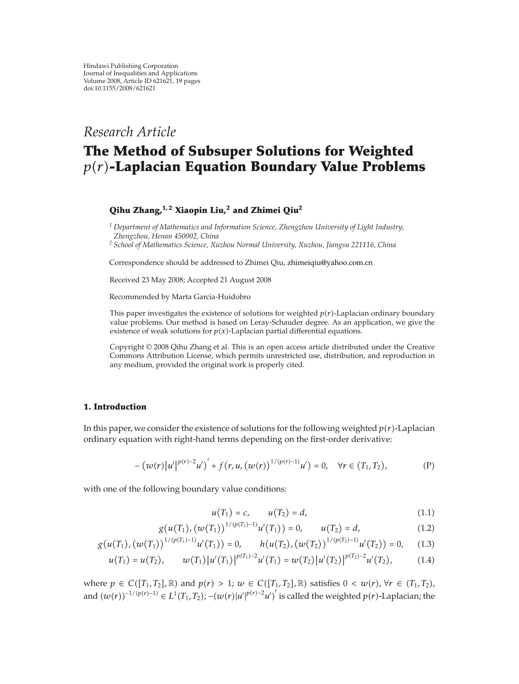## *Research Article*

# **The Method of Subsuper Solutions for Weighted**  $p(r)$ -Laplacian Equation Boundary Value Problems

### **Qihu Zhang,1, 2 Xiaopin Liu,<sup>2</sup> and Zhimei Qiu2**

*<sup>1</sup> Department of Mathematics and Information Science, Zhengzhou University of Light Industry, Zhengzhou, Henan 450002, China*

*<sup>2</sup> School of Mathematics Science, Xuzhou Normal University, Xuzhou, Jiangsu 221116, China*

Correspondence should be addressed to Zhimei Qiu, zhimeiqiu@yahoo.com.cn

Received 23 May 2008; Accepted 21 August 2008

Recommended by Marta Garcia-Huidobro

This paper investigates the existence of solutions for weighted  $p(r)$ -Laplacian ordinary boundary value problems. Our method is based on Leray-Schauder degree. As an application, we give the existence of weak solutions for  $p(x)$ -Laplacian partial differential equations.

Copyright © 2008 Qihu Zhang et al. This is an open access article distributed under the Creative Commons Attribution License, which permits unrestricted use, distribution, and reproduction in any medium, provided the original work is properly cited.

#### **1. Introduction**

In this paper, we consider the existence of solutions for the following weighted  $p(r)$ -Laplacian ordinary equation with right-hand terms depending on the first-order derivative:

$$
-(w(r)|u'|^{p(r)-2}u')' + f(r,u,(w(r))^{1/(p(r)-1)}u') = 0, \quad \forall r \in (T_1,T_2),
$$
 (P)

with one of the following boundary value conditions:

$$
u(T_1) = c, \t u(T_2) = d,
$$
\t(1.1)

$$
g(u(T_1), (w(T_1))^{1/(p(T_1)-1)}u'(T_1)) = 0, \qquad u(T_2) = d,\tag{1.2}
$$

$$
g(u(T_1), (w(T_1))^{1/(p(T_1)-1)}u'(T_1)) = 0, \qquad h(u(T_2), (w(T_2))^{1/(p(T_2)-1)}u'(T_2)) = 0, \qquad (1.3)
$$

$$
u(T_1) = u(T_2), \qquad w(T_1) |u'(T_1)|^{p(T_1)-2} u'(T_1) = w(T_2) |u'(T_2)|^{p(T_2)-2} u'(T_2), \qquad (1.4)
$$

where  $p \in C([T_1, T_2], \mathbb{R})$  and  $p(r) > 1$ ;  $w \in C([T_1, T_2], \mathbb{R})$  satisfies  $0 < w(r)$ ,  $\forall r \in (T_1, T_2)$ , and  $(w(r))^{-1/(p(r)-1)} \in L^1(T_1, T_2)$ ;  $-(w(r)|u'|^{p(r)-2}u')'$  is called the weighted  $p(r)$ -Laplacian; the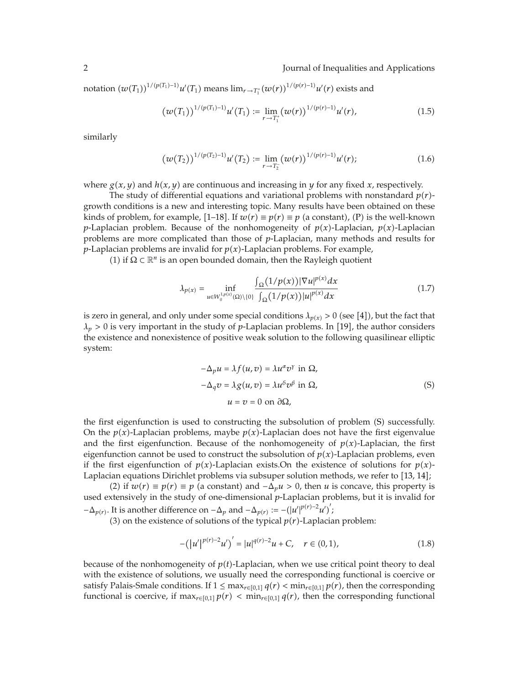2 Journal of Inequalities and Applications

 $w(T_1)$ <sup>1/ $(p(T_1)-1)$ </sup>**u'** $(T_1)$  means  $\lim_{r\to T_1^+} (w(r))^{1/(p(r)-1)}$ **u'** $(r)$  exists and

$$
\left(w(T_1)\right)^{1/(p(T_1)-1)}u'(T_1) := \lim_{r \to T_1^+} \left(w(r)\right)^{1/(p(r)-1)}u'(r),\tag{1.5}
$$

similarly

$$
\left(w(T_2)\right)^{1/(p(T_2)-1)}u'(T_2) := \lim_{r \to T_2^-} \left(w(r)\right)^{1/(p(r)-1)}u'(r); \tag{1.6}
$$

where  $g(x, y)$  and  $h(x, y)$  are continuous and increasing in *y* for any fixed *x*, respectively.

The study of differential equations and variational problems with nonstandard  $p(r)$ growth conditions is a new and interesting topic. Many results have been obtained on these kinds of problem, for example, [1–18]. If  $w(r) \equiv p(r) \equiv p$  (a constant), (P) is the well-known p-Laplacian problem. Because of the nonhomogeneity of  $p(x)$ -Laplacian,  $p(x)$ -Laplacian problems are more complicated than those of *p*-Laplacian, many methods and results for  $p$ -Laplacian problems are invalid for  $p(x)$ -Laplacian problems. For example,

(1) if  $\Omega \subset \mathbb{R}^n$  is an open bounded domain, then the Rayleigh quotient

$$
\lambda_{p(x)} = \inf_{u \in W_0^{1,p(x)}(\Omega) \setminus \{0\}} \frac{\int_{\Omega} (1/p(x)) |\nabla u|^{p(x)} dx}{\int_{\Omega} (1/p(x)) |u|^{p(x)} dx}
$$
(1.7)

is zero in general, and only under some special conditions  $\lambda_{p(x)} > 0$  (see [4]), but the fact that  $\lambda_p$  > 0 is very important in the study of *p*-Laplacian problems. In [19], the author considers the existence and nonexistence of positive weak solution to the following quasilinear elliptic system:

$$
-\Delta_p u = \lambda f(u, v) = \lambda u^{\alpha} v^{\gamma} \text{ in } \Omega,
$$
  

$$
-\Delta_q v = \lambda g(u, v) = \lambda u^{\delta} v^{\beta} \text{ in } \Omega,
$$
  

$$
u = v = 0 \text{ on } \partial \Omega,
$$
 (S)

the first eigenfunction is used to constructing the subsolution of problem (S) successfully. On the  $p(x)$ -Laplacian problems, maybe  $p(x)$ -Laplacian does not have the first eigenvalue and the first eigenfunction. Because of the nonhomogeneity of  $p(x)$ -Laplacian, the first eigenfunction cannot be used to construct the subsolution of  $p(x)$ -Laplacian problems, even if the first eigenfunction of  $p(x)$ -Laplacian exists.On the existence of solutions for  $p(x)$ -Laplacian equations Dirichlet problems via subsuper solution methods, we refer to [13, 14];

(2) if  $w(r) \equiv p(r) \equiv p$  (a constant) and  $-\Delta_p u > 0$ , then *u* is concave, this property is used extensively in the study of one-dimensional *p*-Laplacian problems, but it is invalid for  $-\Delta_{p(r)}$ . It is another difference on  $-\Delta_p$  and  $-\Delta_{p(r)} := -(|u'|^{p(r)-2}u'')'$ ;

(3) on the existence of solutions of the typical  $p(r)$ -Laplacian problem:

$$
-(|u'|^{p(r)-2}u')' = |u|^{q(r)-2}u + C, \quad r \in (0,1),
$$
\n(1.8)

because of the nonhomogeneity of  $p(t)$ -Laplacian, when we use critical point theory to deal with the existence of solutions, we usually need the corresponding functional is coercive or satisfy Palais-Smale conditions. If  $1 \le \max_{r \in [0,1]} q(r) < \min_{r \in [0,1]} p(r)$ , then the corresponding functional is coercive, if  $\max_{r \in [0,1]} p(r) < \min_{r \in [0,1]} q(r)$ , then the corresponding functional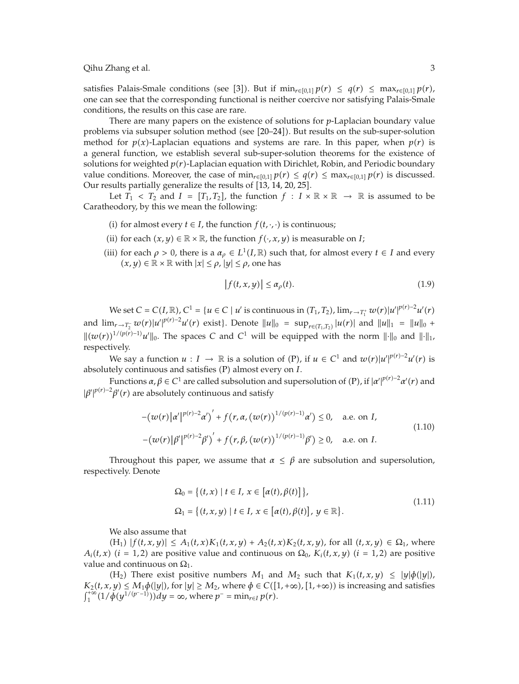satisfies Palais-Smale conditions (see [3]). But if  $\min_{r \in [0,1]} p(r) \leq q(r) \leq \max_{r \in [0,1]} p(r)$ , one can see that the corresponding functional is neither coercive nor satisfying Palais-Smale conditions, the results on this case are rare.

There are many papers on the existence of solutions for *p*-Laplacian boundary value problems via subsuper solution method (see [20–24]). But results on the sub-super-solution method for  $p(x)$ -Laplacian equations and systems are rare. In this paper, when  $p(r)$  is a general function, we establish several sub-super-solution theorems for the existence of solutions for weighted  $p(r)$ -Laplacian equation with Dirichlet, Robin, and Periodic boundary value conditions. Moreover, the case of  $\min_{r \in [0,1]} p(r) \le q(r) \le \max_{r \in [0,1]} p(r)$  is discussed. Our results partially generalize the results of [13, 14, 20, 25].

Let  $T_1 < T_2$  and  $I = [T_1, T_2]$ , the function  $f : I \times \mathbb{R} \times \mathbb{R} \rightarrow \mathbb{R}$  is assumed to be Caratheodory, by this we mean the following:

- (i) for almost every *t* ∈ *I*, the function *f*(*t*, ·*,* ·) is continuous;
- (ii) for each  $(x, y) \in \mathbb{R} \times \mathbb{R}$ , the function  $f(\cdot, x, y)$  is measurable on *I*;
- (iii) for each  $\rho > 0$ , there is a  $\alpha_{\rho} \in L^1(I, \mathbb{R})$  such that, for almost every  $t \in I$  and every  $(x, y) \in \mathbb{R} \times \mathbb{R}$  with  $|x| \le \rho$ ,  $|y| \le \rho$ , one has

$$
|f(t, x, y)| \le \alpha_{\rho}(t). \tag{1.9}
$$

We set  $C = C(I, \mathbb{R})$ ,  $C^1 = \{u \in C \mid u' \text{ is continuous in } (T_1, T_2)$ ,  $\lim_{r \to T_1^+} w(r) |u'|^{p(r)-2} u'(r)$ and  $\lim_{r \to T_2^-} w(r) |u'|^{p(r)-2} u'(r)$  exist}. Denote  $||u||_0 = \sup_{r \in (T_1,T_2)} |u(r)|$  and  $||u||_1 = ||u||_0 +$  $\|(w(r))^{1/(p(r)-1)}u'\|_0$ . The spaces *C* and *C*<sup>1</sup> will be equipped with the norm  $\|\cdot\|_0$  and  $\|\cdot\|_1$ , respectively.

We say a function  $u: I \to \mathbb{R}$  is a solution of (P), if  $u \in C^1$  and  $w(r)|u'|^{p(r)-2}u'(r)$  is absolutely continuous and satisfies (P) almost every on *I*.

Functions *α*,  $β ∈ C<sup>1</sup>$  are called subsolution and supersolution of (P), if  $|α'|^{p(r)-2}α'(r)$  and  $|\beta'|^{p(r)-2}\beta'(r)$  are absolutely continuous and satisfy

$$
-(w(r)|\alpha'|^{p(r)-2}\alpha')' + f(r,\alpha,(w(r))^{1/(p(r)-1)}\alpha') \le 0, \text{ a.e. on } I,
$$
  
-(w(r)|\beta'|^{p(r)-2}\beta')' + f(r,\beta,(w(r))^{1/(p(r)-1)}\beta') \ge 0, \text{ a.e. on } I. (1.10)

Throughout this paper, we assume that  $\alpha \leq \beta$  are subsolution and supersolution, respectively. Denote

$$
\Omega_0 = \{ (t, x) \mid t \in I, x \in [\alpha(t), \beta(t)] \},\
$$
  
\n
$$
\Omega_1 = \{ (t, x, y) \mid t \in I, x \in [\alpha(t), \beta(t)], y \in \mathbb{R} \}.
$$
\n(1.11)

We also assume that

 $(H_1)$   $|f(t, x, y)| \leq A_1(t, x)K_1(t, x, y) + A_2(t, x)K_2(t, x, y)$ , for all  $(t, x, y) \in \Omega_1$ , where  $A_i(t, x)$  (*i* = 1, 2) are positive value and continuous on  $\Omega_0$ ,  $K_i(t, x, y)$  (*i* = 1, 2) are positive value and continuous on  $\Omega_1$ .

(H<sub>2</sub>) There exist positive numbers  $M_1$  and  $M_2$  such that  $K_1(t, x, y) \le |y|\phi(|y|)$ ,  $K_2(t, x, y) \le M_1\phi(|y|)$ , for  $|y| \ge M_2$ , where  $\phi \in C([1, +\infty), [1, +\infty))$  is increasing and satisfies  $\int_{1}^{+\infty} (1/\phi(y^{1/(p^2-1)})) dy = \infty$ , where  $p^- = \min_{r \in I} p(r)$ .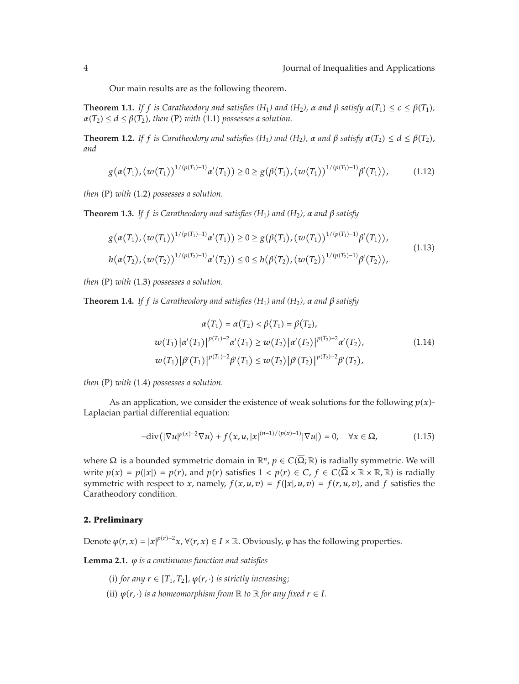Our main results are as the following theorem.

**Theorem 1.1.** If f is Caratheodory and satisfies  $(H_1)$  and  $(H_2)$ ,  $\alpha$  and  $\beta$  satisfy  $\alpha(T_1) \leq c \leq \beta(T_1)$ ,  $\alpha(T_2) \leq d \leq \beta(T_2)$ , then (P) with (1.1) possesses a solution.

**Theorem 1.2.** If f is Caratheodory and satisfies  $(H_1)$  and  $(H_2)$ ,  $\alpha$  and  $\beta$  satisfy  $\alpha(T_2) \leq d \leq \beta(T_2)$ , *and*

$$
g(\alpha(T_1), (\omega(T_1))^{1/(p(T_1)-1)}\alpha'(T_1)) \geq 0 \geq g(\beta(T_1), (\omega(T_1))^{1/(p(T_1)-1)}\beta'(T_1)), \qquad (1.12)
$$

*then* (P) with (1.2) possesses a solution.

**Theorem 1.3.** *If f is Caratheodory and satisfies (H<sub>1</sub>) and (H<sub>2</sub>),*  $\alpha$  *and*  $\beta$  *satisfy* 

$$
g(\alpha(T_1), (\omega(T_1))^{1/(p(T_1)-1)}\alpha'(T_1)) \ge 0 \ge g(\beta(T_1), (\omega(T_1))^{1/(p(T_1)-1)}\beta'(T_1)),
$$
  
\n
$$
h(\alpha(T_2), (\omega(T_2))^{1/(p(T_2)-1)}\alpha'(T_2)) \le 0 \le h(\beta(T_2), (\omega(T_2))^{1/(p(T_2)-1)}\beta'(T_2)),
$$
\n(1.13)

*then* (P) with (1.3) possesses a solution.

**Theorem 1.4.** *If*  $f$  *is Caratheodory and satisfies*  $(H_1)$  *and*  $(H_2)$ *,*  $\alpha$  *and*  $\beta$  *satisfy* 

$$
\alpha(T_1) = \alpha(T_2) < \beta(T_1) = \beta(T_2),
$$
\n
$$
w(T_1) |\alpha'(T_1)|^{p(T_1)-2} \alpha'(T_1) \geq w(T_2) |\alpha'(T_2)|^{p(T_2)-2} \alpha'(T_2),
$$
\n
$$
w(T_1) |\beta'(T_1)|^{p(T_1)-2} \beta'(T_1) \leq w(T_2) |\beta'(T_2)|^{p(T_2)-2} \beta'(T_2),
$$
\n
$$
(1.14)
$$

*then* (P) with (1.4) possesses a solution.

As an application, we consider the existence of weak solutions for the following  $p(x)$ -Laplacian partial differential equation:

$$
-\text{div}\left(|\nabla u|^{p(x)-2}\nabla u\right) + f(x, u, |x|^{(n-1)/(p(x)-1)}|\nabla u|\right) = 0, \quad \forall x \in \Omega,
$$
 (1.15)

where  $\Omega$  is a bounded symmetric domain in  $\mathbb{R}^n$ ,  $p \in C(\overline{\Omega}; \mathbb{R})$  is radially symmetric. We will write  $p(x) = p(|x|) = p(r)$ , and  $p(r)$  satisfies  $1 < p(r) \in C$ ,  $f \in C(\overline{\Omega} \times \mathbb{R} \times \mathbb{R}, \mathbb{R})$  is radially symmetric with respect to *x*, namely,  $f(x, u, v) = f(|x|, u, v) = f(r, u, v)$ , and  $f$  satisfies the Caratheodory condition.

#### **2. Preliminary**

Denote  $\varphi(r, x) = |x|^{p(r)-2}x$ ,  $\forall (r, x) \in I \times \mathbb{R}$ . Obviously,  $\varphi$  has the following properties.

**Lemma 2.1.** *ϕ is a continuous function and satisfies*

- (i) for any  $r \in [T_1, T_2]$ ,  $\varphi(r, \cdot)$  is strictly increasing;
- (ii)  $\varphi(r, \cdot)$  *is a homeomorphism from*  $\mathbb R$  *to*  $\mathbb R$  *for any fixed*  $r \in I$ *.*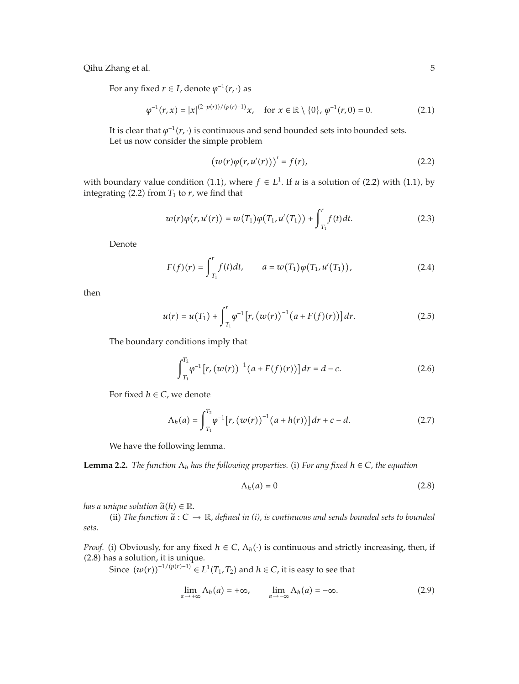For any fixed  $r \in I$ , denote  $\varphi^{-1}(r, \cdot)$  as

$$
\varphi^{-1}(r,x) = |x|^{(2-p(r))/(p(r)-1)}x, \quad \text{for } x \in \mathbb{R} \setminus \{0\}, \varphi^{-1}(r,0) = 0. \tag{2.1}
$$

It is clear that  $\varphi^{-1}(r, \cdot)$  is continuous and send bounded sets into bounded sets. Let us now consider the simple problem

$$
\left(w(r)\varphi(r,u'(r))\right)' = f(r),\tag{2.2}
$$

with boundary value condition (1.1), where  $f \in L^1$ . If *u* is a solution of (2.2) with (1.1), by integrating (2.2) from  $T_1$  to  $r$ , we find that

$$
w(r)\varphi(r, u'(r)) = w(T_1)\varphi(T_1, u'(T_1)) + \int_{T_1}^r f(t)dt.
$$
 (2.3)

Denote

$$
F(f)(r) = \int_{T_1}^r f(t)dt, \qquad a = w(T_1)\varphi(T_1, u'(T_1)), \qquad (2.4)
$$

then

$$
u(r) = u(T_1) + \int_{T_1}^r \varphi^{-1} \left[ r, \left( w(r) \right)^{-1} \left( a + F(f)(r) \right) \right] dr. \tag{2.5}
$$

The boundary conditions imply that

$$
\int_{T_1}^{T_2} \varphi^{-1} \big[ r, \big( w(r) \big)^{-1} \big( a + F(f)(r) \big) \big] dr = d - c. \tag{2.6}
$$

For fixed  $h \in C$ , we denote

$$
\Lambda_h(a) = \int_{T_1}^{T_2} \varphi^{-1} \left[ r, \left( w(r) \right)^{-1} \left( a + h(r) \right) \right] dr + c - d. \tag{2.7}
$$

We have the following lemma.

**Lemma 2.2.** *The function*  $\Lambda_h$  *has the following properties.* (i) For any fixed  $h \in C$ , the equation

$$
\Lambda_h(a) = 0 \tag{2.8}
$$

*has a unique solution*  $\widetilde{a}(h) \in \mathbb{R}$ .<br>(ii) The function  $\widetilde{a} : C$ 

(ii) The function  $\tilde{a}: C \to \mathbb{R}$ , defined in (i), is continuous and sends bounded sets to bounded *sets.*

*Proof.* (i) Obviously, for any fixed  $h \in C$ ,  $\Lambda_h(\cdot)$  is continuous and strictly increasing, then, if -2.8 has a solution, it is unique.

Since  $(w(r))^{-1/(p(r)-1)} \in L^1(T_1, T_2)$  and  $h \in C$ , it is easy to see that

$$
\lim_{a \to +\infty} \Lambda_h(a) = +\infty, \qquad \lim_{a \to -\infty} \Lambda_h(a) = -\infty.
$$
 (2.9)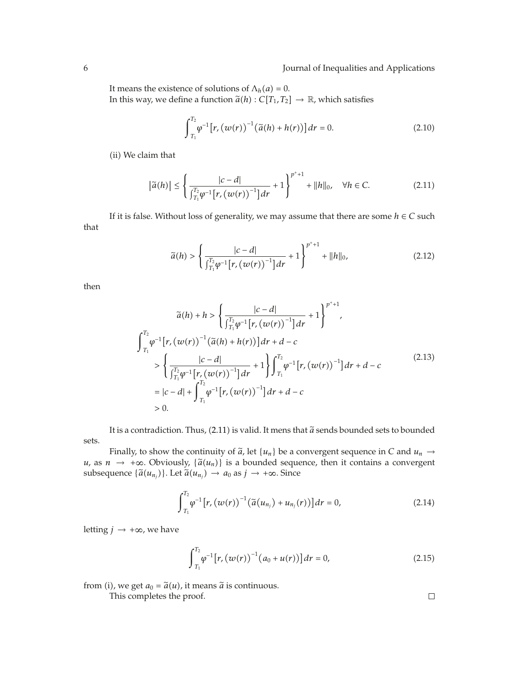It means the existence of solutions of  $\Lambda_h(a) = 0$ . In this way, we define a function  $\widetilde{a}(h): C[T_1, T_2] \to \mathbb{R}$ , which satisfies

$$
\int_{T_1}^{T_2} \varphi^{-1} \left[ r, \left( w(r) \right)^{-1} \left( \tilde{a}(h) + h(r) \right) \right] dr = 0. \tag{2.10}
$$

(ii) We claim that

$$
\left|\tilde{a}(h)\right| \leq \left\{\frac{|c-d|}{\int_{T_1}^{T_2} \varphi^{-1} \left[r, \left(w(r)\right)^{-1}\right] dr} + 1\right\}^{p^*+1} + \|h\|_0, \quad \forall h \in C. \tag{2.11}
$$

If it is false. Without loss of generality, we may assume that there are some  $h \in C$  such that

$$
\widetilde{a}(h) > \left\{ \frac{|c - d|}{\int_{T_1}^{T_2} \varphi^{-1} \left[ r, \left( w(r) \right)^{-1} \right] dr} + 1 \right\}^{p^+ + 1} + \|h\|_0,\tag{2.12}
$$

then

$$
\tilde{a}(h) + h > \left\{ \frac{|c-d|}{\int_{T_1}^{T_2} \varphi^{-1} [r, (w(r))^{-1}] dr} + 1 \right\}^{p^*+1},
$$
\n
$$
\int_{T_1}^{T_2} \varphi^{-1} [r, (w(r))^{-1} (\tilde{a}(h) + h(r))] dr + d - c
$$
\n
$$
> \left\{ \frac{|c-d|}{\int_{T_1}^{T_2} \varphi^{-1} [r, (w(r))^{-1}] dr} + 1 \right\} \int_{T_1}^{T_2} \varphi^{-1} [r, (w(r))^{-1}] dr + d - c
$$
\n
$$
= |c - d| + \int_{T_1}^{T_2} \varphi^{-1} [r, (w(r))^{-1}] dr + d - c
$$
\n
$$
> 0.
$$
\n(2.13)

It is a contradiction. Thus,  $(2.11)$  is valid. It mens that  $\widetilde{a}$  sends bounded sets to bounded sets.

Finally, to show the continuity of  $\tilde{a}$ , let  $\{u_n\}$  be a convergent sequence in *C* and  $u_n \to$ *u*, as *n* →  $+\infty$ . Obviously, { $\tilde{a}(u_n)$ } is a bounded sequence, then it contains a convergent subsequence  $\{\widetilde{a}(u_{n_j})\}$ . Let  $\widetilde{a}(u_{n_j}) \to a_0$  as  $j \to +\infty$ . Since

$$
\int_{T_1}^{T_2} \varphi^{-1} \left[ r, \left( w(r) \right)^{-1} \left( \tilde{a}(u_{n_j}) + u_{n_j}(r) \right) \right] dr = 0, \tag{2.14}
$$

letting  $j \rightarrow +\infty$ , we have

$$
\int_{T_1}^{T_2} \varphi^{-1} \left[ r, \left( w(r) \right)^{-1} \left( a_0 + u(r) \right) \right] dr = 0, \tag{2.15}
$$

from (i), we get  $a_0 = \tilde{a}(u)$ , it means  $\tilde{a}$  is continuous.<br>This completes the preof

This completes the proof.

 $\Box$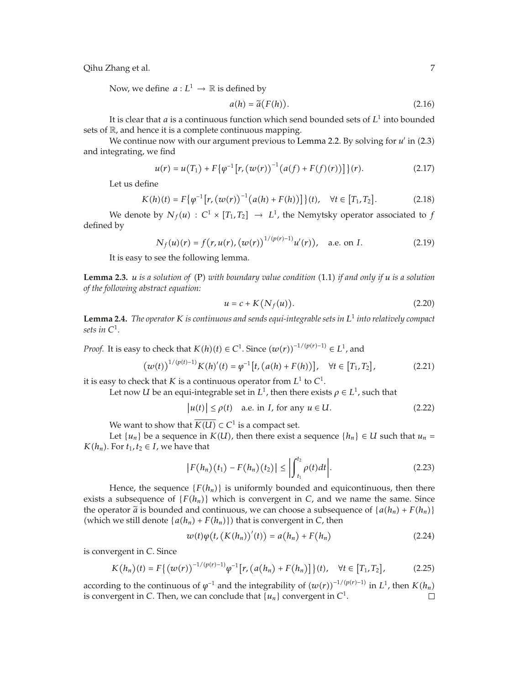Now, we define  $a: L^1 \to \mathbb{R}$  is defined by

$$
a(h) = \tilde{a}(F(h)).
$$
\n(2.16)

It is clear that  $a$  is a continuous function which send bounded sets of  $L<sup>1</sup>$  into bounded sets of  $\mathbb R$ , and hence it is a complete continuous mapping.

We continue now with our argument previous to Lemma 2.2. By solving for  $u'$  in (2.3) and integrating, we find

$$
u(r) = u(T_1) + F\{\varphi^{-1}[r, (w(r))^{-1}(a(f) + F(f)(r))]\}(r).
$$
 (2.17)

Let us define

$$
K(h)(t) = F\{\varphi^{-1}\big[r, \big(\omega(r)\big)^{-1}\big(a(h) + F(h)\big)\big]\}(t), \quad \forall t \in [T_1, T_2].
$$
 (2.18)

We denote by  $N_f(u) : C^1 \times [T_1, T_2] \rightarrow L^1$ , the Nemytsky operator associated to  $f$ defined by

$$
N_f(u)(r) = f(r, u(r), (w(r))^{1/(p(r)-1)}u'(r)), \text{ a.e. on } I.
$$
 (2.19)

It is easy to see the following lemma.

**Lemma 2.3.**  $u$  is a solution of (P) with boundary value condition (1.1) if and only if  $u$  is a solution *of the following abstract equation:*

$$
u = c + K(N_f(u)). \tag{2.20}
$$

**Lemma 2.4.** *The operator K is continuous and sends equi-integrable sets in L*<sup>1</sup> *into relatively compact sets in*  $C^1$ .

*Proof.* It is easy to check that  $K(h)(t) \in C^1$ . Since  $(w(r))^{-1/(p(r)-1)} \in L^1$ , and

$$
\left(w(t)\right)^{1/(p(t)-1)} K(h)'(t) = \varphi^{-1}\left[t, \left(a(h) + F(h)\right)\right], \quad \forall t \in [T_1, T_2],\tag{2.21}
$$

it is easy to check that *K* is a continuous operator from  $L^1$  to  $C^1$ .

Let now *U* be an equi-integrable set in  $L^1$ , then there exists  $\rho \in L^1$ , such that

$$
|u(t)| \le \rho(t) \quad \text{a.e. in } I, \text{ for any } u \in U. \tag{2.22}
$$

We want to show that  $K(U) \subset C^1$  is a compact set.

Let  $\{u_n\}$  be a sequence in  $K(U)$ , then there exist a sequence  $\{h_n\} \in U$  such that  $u_n =$  $K(h_n)$ . For  $t_1, t_2 \in I$ , we have that

$$
|F(h_n)(t_1) - F(h_n)(t_2)| \le \left| \int_{t_1}^{t_2} \rho(t) dt \right|.
$$
 (2.23)

Hence, the sequence  $\{F(h_n)\}\$ is uniformly bounded and equicontinuous, then there exists a subsequence of  $\{F(h_n)\}$  which is convergent in *C*, and we name the same. Since the operator  $\tilde{a}$  is bounded and continuous, we can choose a subsequence of  $\{a(h_n) + F(h_n)\}$ <br>(which we still donote  $\{a(h_n) + F(h_n)\}$ ) that is convergent in C, then (which we still denote  $\{a(h_n) + F(h_n)\}\)$  that is convergent in *C*, then

$$
w(t)\varphi\bigl(t,\bigl(K(h_n)\bigr)'(t)\bigr)=a(h_n)+F(h_n) \qquad (2.24)
$$

is convergent in *C*. Since

$$
K(h_n)(t) = F\{(w(r))^{-1/(p(r)-1)}\varphi^{-1}[r,(a(h_n) + F(h_n)]\}(t), \quad \forall t \in [T_1, T_2],
$$
 (2.25)

according to the continuous of  $\varphi^{-1}$  and the integrability of  $(w(r))^{-1/(p(r)-1)}$  in  $L^1$ , then  $K(h_n)$ is convergent in *C*. Then, we can conclude that  $\{u_n\}$  convergent in  $C^1$ .  $\Box$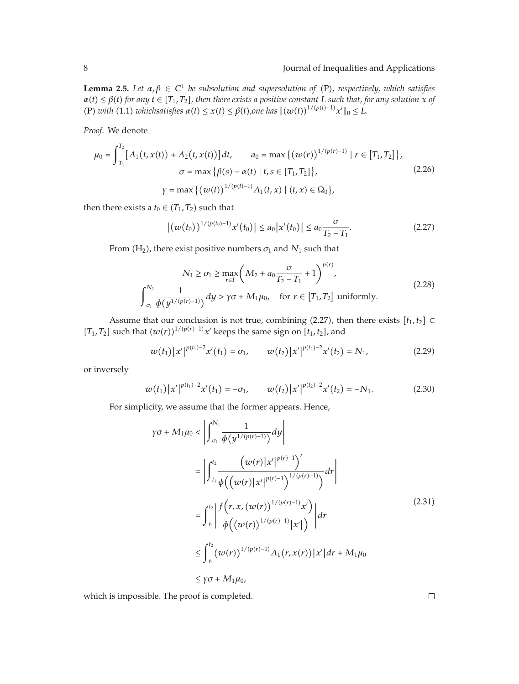**Lemma 2.5.** Let  $\alpha, \beta \in C^1$  be subsolution and supersolution of (P), respectively, which satisfies  $a(t) \leq \beta(t)$  for any  $t \in [T_1, T_2]$ , then there exists a positive constant L such that, for any solution  $x$  of  $(P) \text{ with (1.1) which satisfies } \alpha(t) \leq x(t) \leq \beta(t) \text{,} \text{ one has } ||(w(t))^{1/(p(t)-1)}x'||_0 \leq L.$ 

*Proof.* We denote

$$
\mu_0 = \int_{T_1}^{T_2} \left[ A_1(t, x(t)) + A_2(t, x(t)) \right] dt, \qquad a_0 = \max \left\{ \left( w(r) \right)^{1/(p(r)-1)} \mid r \in [T_1, T_2] \right\},
$$
\n
$$
\sigma = \max \left\{ \beta(s) - \alpha(t) \mid t, s \in [T_1, T_2] \right\},
$$
\n
$$
\gamma = \max \left\{ \left( w(t) \right)^{1/(p(t)-1)} A_1(t, x) \mid (t, x) \in \Omega_0 \right\},
$$
\n(2.26)

then there exists a  $t_0 \in (T_1, T_2)$  such that

$$
\left| \left( w(t_0) \right)^{1/(p(t_0)-1)} x'(t_0) \right| \le a_0 \left| x'(t_0) \right| \le a_0 \frac{\sigma}{T_2 - T_1}.
$$
 (2.27)

From  $(H_2)$ , there exist positive numbers  $\sigma_1$  and  $N_1$  such that

$$
N_1 \ge \sigma_1 \ge \max_{r \in I} \left( M_2 + a_0 \frac{\sigma}{T_2 - T_1} + 1 \right)^{p(r)},
$$
  

$$
\int_{\sigma_1}^{N_1} \frac{1}{\phi(y^{1/(p(r)-1)})} dy > \gamma \sigma + M_1 \mu_0, \quad \text{for } r \in [T_1, T_2] \text{ uniformly.}
$$
 (2.28)

Assume that our conclusion is not true, combining  $(2.27)$ , then there exists  $[t_1, t_2]$ *[T*<sub>1</sub>*, T*<sub>2</sub>*]* such that  $(w(r))^{1/(p(r)-1)}x'$  keeps the same sign on *[t*<sub>1</sub>*, t*<sub>2</sub>*],* and

$$
w(t_1)|x'|^{p(t_1)-2}x'(t_1)=\sigma_1, \qquad w(t_2)|x'|^{p(t_2)-2}x'(t_2)=N_1,\tag{2.29}
$$

or inversely

$$
w(t_1)|x'|^{p(t_1)-2}x'(t_1)=-\sigma_1, \qquad w(t_2)|x'|^{p(t_2)-2}x'(t_2)=-N_1. \qquad (2.30)
$$

For simplicity, we assume that the former appears. Hence,

$$
\gamma \sigma + M_1 \mu_0 < \left| \int_{\sigma_1}^{N_1} \frac{1}{\phi(y^{1/(p(r)-1)})} dy \right|
$$
\n
$$
= \left| \int_{t_1}^{t_2} \frac{\left( w(r) |x'|^{p(r)-1} \right)'}{\phi \left( \left( w(r) |x'|^{p(r)-1} \right)^{1/(p(r)-1)} \right)} dr \right|
$$
\n
$$
= \int_{t_1}^{t_2} \left| \frac{f \left( r, x, \left( w(r) \right)^{1/(p(r)-1)} x' \right)}{\phi \left( \left( w(r) \right)^{1/(p(r)-1)} |x'| \right)} \right| dr
$$
\n
$$
\leq \int_{t_1}^{t_2} \left( w(r) \right)^{1/(p(r)-1)} A_1(r, x(r)) |x'| dr + M_1 \mu_0
$$
\n
$$
\leq \gamma \sigma + M_1 \mu_0,
$$
\n(2.31)

which is impossible. The proof is completed.

 $\Box$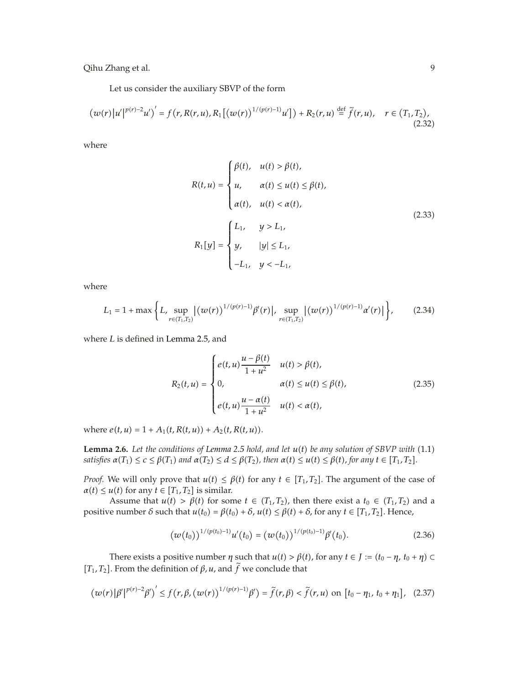Let us consider the auxiliary SBVP of the form

$$
(w(r)|u'|^{p(r)-2}u')' = f(r, R(r, u), R_1[(w(r))^{1/(p(r)-1)}u']) + R_2(r, u) \stackrel{\text{def}}{=} \tilde{f}(r, u), \quad r \in (T_1, T_2),
$$
\n(2.32)

where

$$
R(t, u) = \begin{cases} \beta(t), & u(t) > \beta(t), \\ u, & \alpha(t) \le u(t) \le \beta(t), \\ \alpha(t), & u(t) < \alpha(t), \\ \end{cases}
$$
  
\n
$$
R_1[y] = \begin{cases} L_1, & y > L_1, \\ y, & |y| \le L_1, \\ -L_1, & y < -L_1, \end{cases}
$$
 (2.33)

where

$$
L_1 = 1 + \max\left\{L, \sup_{r \in (T_1, T_2)} |(w(r))^{1/(p(r)-1)} \beta'(r)|, \sup_{r \in (T_1, T_2)} |(w(r))^{1/(p(r)-1)} \alpha'(r)|\right\},
$$
 (2.34)

where *L* is defined in Lemma 2.5, and

$$
R_2(t, u) = \begin{cases} e(t, u) \frac{u - \beta(t)}{1 + u^2} & u(t) > \beta(t), \\ 0, & \alpha(t) \le u(t) \le \beta(t), \\ e(t, u) \frac{u - \alpha(t)}{1 + u^2} & u(t) < \alpha(t), \end{cases}
$$
(2.35)

where  $e(t, u) = 1 + A_1(t, R(t, u)) + A_2(t, R(t, u)).$ 

**Lemma 2.6.** Let the conditions of Lemma 2.5 hold, and let  $u(t)$  be any solution of SBVP with  $(1.1)$ satisfies  $\alpha(T_1) \le c \le \beta(T_1)$  and  $\alpha(T_2) \le d \le \beta(T_2)$ , then  $\alpha(t) \le u(t) \le \beta(t)$ , for any  $t \in [T_1, T_2]$ .

*Proof.* We will only prove that  $u(t) \leq \beta(t)$  for any  $t \in [T_1, T_2]$ . The argument of the case of  $\alpha(t) \leq u(t)$  for any  $t \in [T_1, T_2]$  is similar.

Assume that  $u(t) > \beta(t)$  for some  $t \in (T_1, T_2)$ , then there exist a  $t_0 \in (T_1, T_2)$  and a positive number  $\delta$  such that  $u(t_0) = \beta(t_0) + \delta$ ,  $u(t) \leq \beta(t) + \delta$ , for any  $t \in [T_1, T_2]$ . Hence,

$$
\left(w(t_0)\right)^{1/(p(t_0)-1)}u'(t_0)=\left(w(t_0)\right)^{1/(p(t_0)-1)}\beta'(t_0). \tag{2.36}
$$

There exists a positive number  $\eta$  such that  $u(t) > \beta(t)$ , for any  $t \in J := (t_0 - \eta, t_0 + \eta) \subset$ *T*<sub>1</sub>*, T*<sub>2</sub>*.* From the definition of *β, u,* and  $\tilde{f}$  we conclude that

$$
\left(w(r)\left|\beta'\right|^{p(r)-2}\beta'\right)' \le f\left(r,\beta,\left(w(r)\right)^{1/(p(r)-1)}\beta'\right) = \tilde{f}(r,\beta) < \tilde{f}(r,u) \text{ on } \left[t_0 - \eta_1,\, t_0 + \eta_1\right], \tag{2.37}
$$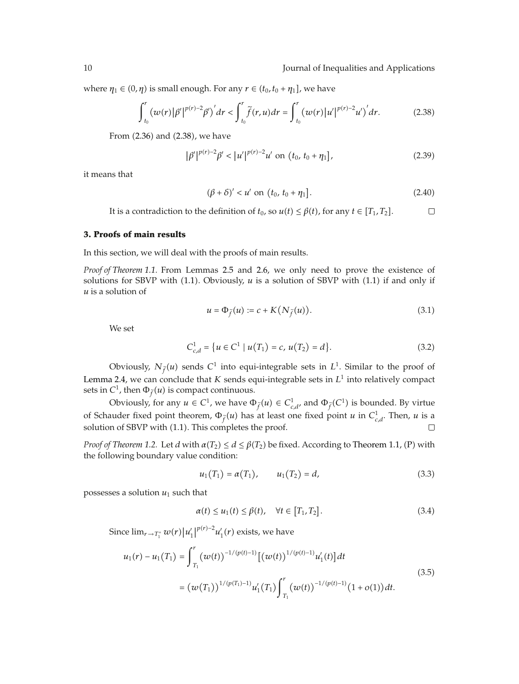where  $\eta_1 \in (0, \eta)$  is small enough. For any  $r \in (t_0, t_0 + \eta_1]$ , we have

$$
\int_{t_0}^r (w(r)|\beta'|^{p(r)-2}\beta')' dr < \int_{t_0}^r \tilde{f}(r,u) dr = \int_{t_0}^r (w(r)|u'|^{p(r)-2}u')' dr.
$$
 (2.38)

From (2.36) and (2.38), we have

$$
|\beta'|^{p(r)-2}\beta' < |u'|^{p(r)-2}u' \text{ on } (t_0, t_0 + \eta_1], \qquad (2.39)
$$

it means that

$$
(\beta + \delta)' < u' \text{ on } (t_0, t_0 + \eta_1]. \tag{2.40}
$$

It is a contradiction to the definition of  $t_0$ , so  $u(t) \leq \beta(t)$ , for any  $t \in [T_1, T_2]$ .  $\Box$ 

#### **3. Proofs of main results**

In this section, we will deal with the proofs of main results.

*Proof of Theorem 1.1.* From Lemmas 2.5 and 2.6, we only need to prove the existence of solutions for SBVP with  $(1.1)$ . Obviously,  $u$  is a solution of SBVP with  $(1.1)$  if and only if *u* is a solution of

$$
u = \Phi_{\tilde{f}}(u) := c + K\left(N_{\tilde{f}}(u)\right). \tag{3.1}
$$

We set

$$
C_{c,d}^1 = \{ u \in C^1 \mid u(T_1) = c, u(T_2) = d \}.
$$
 (3.2)

Obviously,  $N_{\tilde{f}}(u)$  sends  $C^1$  into equi-integrable sets in  $L^1$ . Similar to the proof of Lemma 2.4, we can conclude that *K* sends equi-integrable sets in *L*<sup>1</sup> into relatively compact sets in  $C^1$ , then  $\Phi_{\widetilde{f}}(u)$  is compact continuous.

Obviously, for any  $u \in C^1$ , we have  $\Phi_{\tilde{f}}(u) \in C^1_{c,d}$ , and  $\Phi_{\tilde{f}}(C^1)$  is bounded. By virtue of Schauder fixed point theorem,  $\Phi_{\tilde{f}}(u)$  has at least one fixed point *u* in  $C_{c,d}^1$ . Then, *u* is a solution of SBVP with (1.1). This completes the proof.  $\Box$ 

*Proof of Theorem 1.2.* Let *d* with  $\alpha(T_2) \leq d \leq \beta(T_2)$  be fixed. According to Theorem 1.1, (P) with the following boundary value condition:

$$
u_1(T_1) = \alpha(T_1), \qquad u_1(T_2) = d,\tag{3.3}
$$

possesses a solution  $u_1$  such that

$$
\alpha(t) \le u_1(t) \le \beta(t), \quad \forall t \in [T_1, T_2]. \tag{3.4}
$$

Since  $\lim_{r \to T_1^+} w(r) |u'_1|^{p(r)-2} u'_1(r)$  exists, we have

$$
u_1(r) - u_1(T_1) = \int_{T_1}^r \left( w(t) \right)^{-1/(p(t)-1)} \left[ \left( w(t) \right)^{1/(p(t)-1)} u_1'(t) \right] dt
$$
  

$$
= \left( w(T_1) \right)^{1/(p(T_1)-1)} u_1'(T_1) \int_{T_1}^r \left( w(t) \right)^{-1/(p(t)-1)} (1+o(1)) dt.
$$
 (3.5)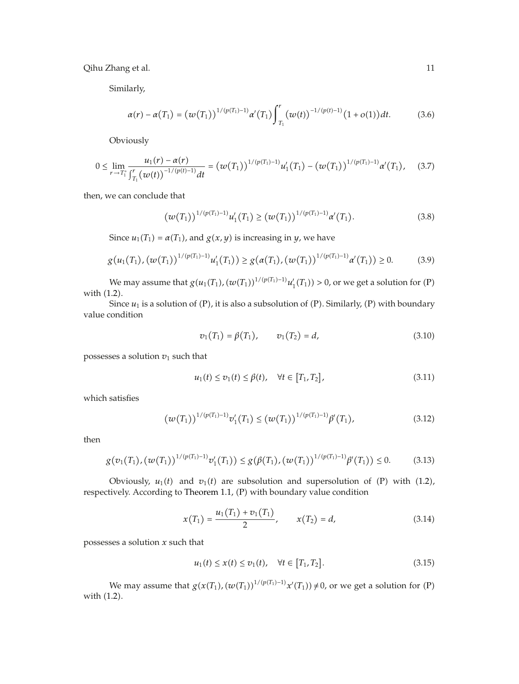Similarly,

$$
\alpha(r) - \alpha(T_1) = \left(w(T_1)\right)^{1/(p(T_1)-1)} \alpha'(T_1) \int_{T_1}^r \left(w(t)\right)^{-1/(p(t)-1)} (1+o(1)) dt. \tag{3.6}
$$

Obviously

$$
0 \leq \lim_{r \to T_1^+} \frac{u_1(r) - \alpha(r)}{\int_{T_1}^r (w(t))^{-1/(p(t)-1)} dt} = \left( w(T_1) \right)^{1/(p(T_1)-1)} u_1'(T_1) - \left( w(T_1) \right)^{1/(p(T_1)-1)} \alpha'(T_1), \quad (3.7)
$$

then, we can conclude that

$$
\left(w(T_1)\right)^{1/(p(T_1)-1)}u_1'(T_1) \geq \left(w(T_1)\right)^{1/(p(T_1)-1)}\alpha'(T_1). \tag{3.8}
$$

Since  $u_1(T_1) = \alpha(T_1)$ , and  $g(x, y)$  is increasing in *y*, we have

$$
g(u_1(T_1), (w(T_1))^{1/(p(T_1)-1)}u'_1(T_1)) \ge g(\alpha(T_1), (w(T_1))^{1/(p(T_1)-1)}\alpha'(T_1)) \ge 0.
$$
 (3.9)

We may assume that  $g(u_1(T_1), (w(T_1))^{1/(p(T_1)-1)}u'_1(T_1)) > 0$ , or we get a solution for (P) with (1.2).

Since  $u_1$  is a solution of (P), it is also a subsolution of (P). Similarly, (P) with boundary value condition

$$
v_1(T_1) = \beta(T_1), \qquad v_1(T_2) = d,\tag{3.10}
$$

possesses a solution  $v_1$  such that

$$
u_1(t) \le v_1(t) \le \beta(t), \quad \forall t \in [T_1, T_2], \tag{3.11}
$$

which satisfies

$$
\left(w(T_1)\right)^{1/(p(T_1)-1)}v_1'(T_1) \leq \left(w(T_1)\right)^{1/(p(T_1)-1)}\beta'(T_1),\tag{3.12}
$$

then

$$
g(v_1(T_1), (w(T_1))^{1/(p(T_1)-1)}v_1'(T_1)) \leq g(\beta(T_1), (w(T_1))^{1/(p(T_1)-1)}\beta'(T_1)) \leq 0. \tag{3.13}
$$

Obviously,  $u_1(t)$  and  $v_1(t)$  are subsolution and supersolution of  $(P)$  with  $(1.2)$ , respectively. According to Theorem 1.1, (P) with boundary value condition

$$
x(T_1) = \frac{u_1(T_1) + v_1(T_1)}{2}, \qquad x(T_2) = d,\tag{3.14}
$$

possesses a solution *x* such that

$$
u_1(t) \le x(t) \le v_1(t), \quad \forall t \in [T_1, T_2]. \tag{3.15}
$$

We may assume that  $g(x(T_1), (w(T_1))^{1/(p(T_1)-1)}x'(T_1)) \neq 0$ , or we get a solution for (P) with (1.2).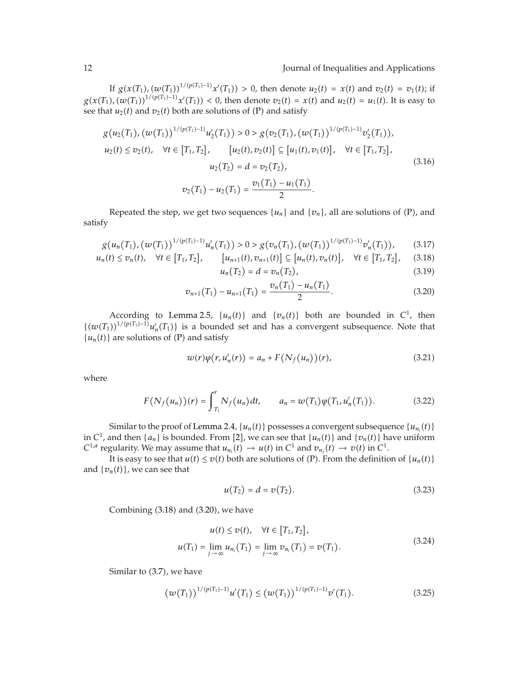If  $g(x(T_1),(w(T_1))^{1/(p(T_1)-1)}x'(T_1)) > 0$ , then denote  $u_2(t) = x(t)$  and  $v_2(t) = v_1(t)$ ; if  $g(x(T_1), (w(T_1))^{1/(p(T_1)-1)}x'(T_1))$  < 0, then denote  $v_2(t) = x(t)$  and  $u_2(t) = u_1(t)$ . It is easy to see that  $u_2(t)$  and  $v_2(t)$  both are solutions of  $(P)$  and satisfy

$$
g(u_2(T_1), (w(T_1))^{1/(p(T_1)-1)}u'_2(T_1)) > 0 > g(v_2(T_1), (w(T_1))^{1/(p(T_1)-1)}v'_2(T_1)),
$$
  
\n
$$
u_2(t) \le v_2(t), \quad \forall t \in [T_1, T_2], \qquad [u_2(t), v_2(t)] \subseteq [u_1(t), v_1(t)], \quad \forall t \in [T_1, T_2],
$$
  
\n
$$
u_2(T_2) = d = v_2(T_2),
$$
  
\n
$$
v_2(T_1) - u_2(T_1) = \frac{v_1(T_1) - u_1(T_1)}{2}.
$$
\n(3.16)

Repeated the step, we get two sequences  $\{u_n\}$  and  $\{v_n\}$ , all are solutions of  $(P)$ , and satisfy

$$
g(u_n(T_1), (w(T_1))^{1/(p(T_1)-1)}u'_n(T_1)) > 0 > g(v_n(T_1), (w(T_1))^{1/(p(T_1)-1)}v'_n(T_1)), \qquad (3.17)
$$

$$
u_n(t) \le v_n(t), \quad \forall t \in [T_1, T_2], \qquad [u_{n+1}(t), v_{n+1}(t)] \subseteq [u_n(t), v_n(t)], \quad \forall t \in [T_1, T_2], \quad (3.18)
$$

 $u_n(T_2) = d = v_n(T_2)$ , (  $(3.19)$ 

$$
v_{n+1}(T_1) - u_{n+1}(T_1) = \frac{v_n(T_1) - u_n(T_1)}{2}.
$$
\n(3.20)

According to Lemma 2.5,  $\{u_n(t)\}$  and  $\{v_n(t)\}$  both are bounded in  $C^1$ , then  $\{(w(T_1))^{1/(p(T_1)-1)}u'_n(T_1)\}\$ is a bounded set and has a convergent subsequence. Note that  $\{u_n(t)\}\$ are solutions of (P) and satisfy

$$
w(r)\varphi(r, u'_n(r)) = a_n + F(N_f(u_n))(r),
$$
\n(3.21)

where

$$
F(N_f(u_n))(r) = \int_{T_1}^r N_f(u_n) dt, \qquad a_n = w(T_1)\varphi(T_1, u'_n(T_1)).
$$
 (3.22)

Similar to the proof of Lemma 2.4,  $\{u_n(t)\}$  possesses a convergent subsequence  $\{u_{n_i}(t)\}$ in  $C^1$ , and then  $\{a_n\}$  is bounded. From [2], we can see that  $\{u_n(t)\}$  and  $\{v_n(t)\}$  have uniform  $C^{1,a}$  regularity. We may assume that  $u_{n_i}(t) \to u(t)$  in  $C^1$  and  $v_{n_j}(t) \to v(t)$  in  $C^1$ .

It is easy to see that  $u(t) \le v(t)$  both are solutions of (P). From the definition of  $\{u_n(t)\}$ and  $\{v_n(t)\}\text{, we can see that }$ 

$$
u(T_2) = d = v(T_2). \tag{3.23}
$$

Combining  $(3.18)$  and  $(3.20)$ , we have

$$
u(t) \le v(t), \quad \forall t \in [T_1, T_2],
$$
  

$$
u(T_1) = \lim_{j \to \infty} u_{n_i}(T_1) = \lim_{j \to \infty} v_{n_i}(T_1) = v(T_1).
$$
 (3.24)

Similar to (3.7), we have

$$
\left(w(T_1)\right)^{1/(p(T_1)-1)}u'(T_1)\leq \left(w(T_1)\right)^{1/(p(T_1)-1)}v'(T_1). \tag{3.25}
$$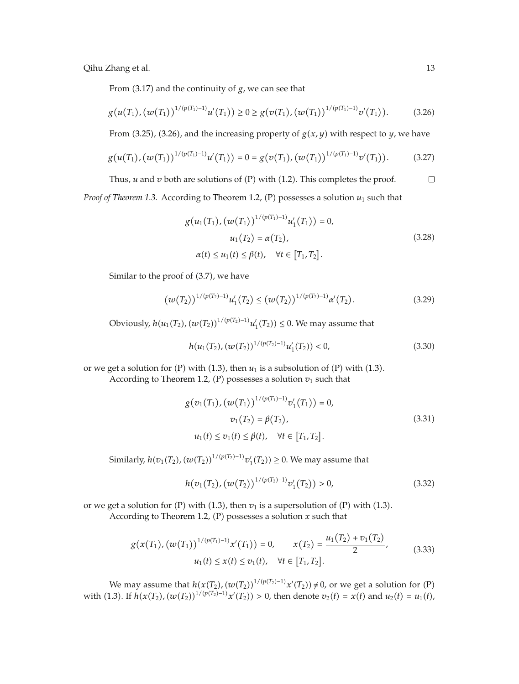From (3.17) and the continuity of *g*, we can see that

$$
g(u(T_1), (w(T_1))^{1/(p(T_1)-1)}u'(T_1)) \geq 0 \geq g(v(T_1), (w(T_1))^{1/(p(T_1)-1)}v'(T_1)).
$$
 (3.26)

From  $(3.25)$ ,  $(3.26)$ , and the increasing property of  $g(x, y)$  with respect to *y*, we have

$$
g(u(T_1), (w(T_1))^{1/(p(T_1)-1)}u'(T_1)) = 0 = g(v(T_1), (w(T_1))^{1/(p(T_1)-1)}v'(T_1)).
$$
 (3.27)

 $\Box$ Thus*,*  $u$  and  $v$  both are solutions of  $(P)$  with  $(1.2)$ . This completes the proof.

*Proof of Theorem 1.3.* According to Theorem 1.2, (P) possesses a solution  $u_1$  such that

$$
g(u_1(T_1), (w(T_1))^{1/(p(T_1)-1)}u'_1(T_1)) = 0,
$$
  
\n
$$
u_1(T_2) = \alpha(T_2),
$$
  
\n
$$
\alpha(t) \le u_1(t) \le \beta(t), \quad \forall t \in [T_1, T_2].
$$
\n(3.28)

Similar to the proof of (3.7), we have

$$
\left(w(T_2)\right)^{1/(p(T_2)-1)}u_1'(T_2) \leq \left(w(T_2)\right)^{1/(p(T_2)-1)}\alpha'(T_2). \tag{3.29}
$$

Obviously,  $h(u_1(T_2), (w(T_2))^{1/(p(T_2)-1)}u'_1(T_2)) \leq 0$ . We may assume that

$$
h(u_1(T_2), (w(T_2))^{1/(p(T_2)-1)}u_1'(T_2)) < 0,\tag{3.30}
$$

or we get a solution for (P) with  $(1.3)$ , then  $u_1$  is a subsolution of (P) with  $(1.3)$ . According to Theorem 1.2, (P) possesses a solution  $v_1$  such that

*p-12 p-2* 

$$
g(v_1(T_1), (w(T_1))^{1/(p(T_1)-1)}v'_1(T_1)) = 0,
$$
  
\n
$$
v_1(T_2) = \beta(T_2),
$$
  
\n
$$
u_1(t) \le v_1(t) \le \beta(t), \quad \forall t \in [T_1, T_2].
$$
\n(3.31)

Similarly,  $h(v_1(T_2), (w(T_2))^{1/(p(T_2)-1)}v'_1(T_2)) \geq 0$ . We may assume that

$$
h(v_1(T_2), (w(T_2))^{1/(p(T_2)-1)}v_1'(T_2)) > 0,
$$
\n(3.32)

or we get a solution for (P) with  $(1.3)$ , then  $v_1$  is a supersolution of (P) with  $(1.3)$ . According to Theorem 1.2, (P) possesses a solution *x* such that

$$
g(x(T_1), (w(T_1))^{1/(p(T_1)-1)}x'(T_1)) = 0, \qquad x(T_2) = \frac{u_1(T_2) + v_1(T_2)}{2},
$$
  
\n
$$
u_1(t) \le x(t) \le v_1(t), \quad \forall t \in [T_1, T_2].
$$
\n(3.33)

We may assume that  $h(x(T_2), (w(T_2))^{1/(p(T_2)-1)}x'(T_2)) \neq 0$ , or we get a solution for (P) with (1.3). If  $h(x(T_2), (w(T_2))^{1/(p(T_2)-1)}x'(T_2)) > 0$ , then denote  $v_2(t) = x(t)$  and  $u_2(t) = u_1(t)$ ,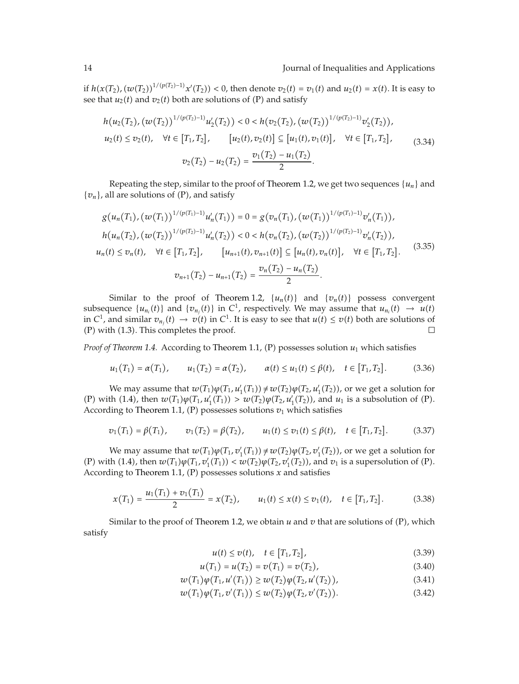if  $h(x(T_2),(w(T_2))^{1/(p(T_2)-1)}x'(T_2))$  < 0, then denote  $v_2(t) = v_1(t)$  and  $u_2(t) = x(t)$ . It is easy to see that  $u_2(t)$  and  $v_2(t)$  both are solutions of  $(P)$  and satisfy

$$
h(u_2(T_2), (w(T_2))^{1/(p(T_2)-1)}u'_2(T_2)) < 0 < h(v_2(T_2), (w(T_2))^{1/(p(T_2)-1)}v'_2(T_2)),
$$
  
\n
$$
u_2(t) \le v_2(t), \quad \forall t \in [T_1, T_2], \qquad [u_2(t), v_2(t)] \subseteq [u_1(t), v_1(t)], \quad \forall t \in [T_1, T_2],
$$
  
\n
$$
v_2(T_2) - u_2(T_2) = \frac{v_1(T_2) - u_1(T_2)}{2}.
$$
\n(3.34)

Repeating the step, similar to the proof of Theorem 1.2, we get two sequences  ${u_n}$  and  $\{v_n\}$ , all are solutions of  $(P)$ , and satisfy

$$
g(u_n(T_1), (w(T_1))^{1/(p(T_1)-1)}u'_n(T_1)) = 0 = g(v_n(T_1), (w(T_1))^{1/(p(T_1)-1)}v'_n(T_1)),
$$
  
\n
$$
h(u_n(T_2), (w(T_2))^{1/(p(T_2)-1)}u'_n(T_2)) < 0 < h(v_n(T_2), (w(T_2))^{1/(p(T_2)-1)}v'_n(T_2)),
$$
  
\n
$$
u_n(t) \le v_n(t), \quad \forall t \in [T_1, T_2], \qquad [u_{n+1}(t), v_{n+1}(t)] \subseteq [u_n(t), v_n(t)], \quad \forall t \in [T_1, T_2].
$$
  
\n
$$
v_{n+1}(T_2) - u_{n+1}(T_2) = \frac{v_n(T_2) - u_n(T_2)}{2}.
$$
\n(3.35)

Similar to the proof of Theorem 1.2,  $\{u_n(t)\}$  and  $\{v_n(t)\}$  possess convergent subsequence  $\{u_{n_i}(t)\}\$  and  $\{v_{n_j}(t)\}\$  in  $C^1$ , respectively. We may assume that  $u_{n_i}(t) \rightarrow u(t)$ in  $C^1$ , and similar  $v_{n_j}(t) \to v(t)$  in  $C^1$ . It is easy to see that  $u(t) \le v(t)$  both are solutions of  $(P)$  with  $(1.3)$ . This completes the proof.  $\Box$ 

*Proof of Theorem 1.4.* According to Theorem 1.1, (P) possesses solution  $u_1$  which satisfies

$$
u_1(T_1) = \alpha(T_1),
$$
  $u_1(T_2) = \alpha(T_2),$   $\alpha(t) \le u_1(t) \le \beta(t),$   $t \in [T_1, T_2].$  (3.36)

We may assume that  $w(T_1)\varphi(T_1, u'_1(T_1)) \neq w(T_2)\varphi(T_2, u'_1(T_2))$ , or we get a solution for (P) with (1.4), then  $w(T_1)\varphi(T_1, u'_1(T_1)) > w(T_2)\varphi(T_2, u'_1(T_2))$ , and  $u_1$  is a subsolution of (P). According to Theorem 1.1, (P) possesses solutions  $v_1$  which satisfies

$$
v_1(T_1) = \beta(T_1), \qquad v_1(T_2) = \beta(T_2), \qquad u_1(t) \le v_1(t) \le \beta(t), \quad t \in [T_1, T_2]. \tag{3.37}
$$

We may assume that  $w(T_1)\varphi(T_1, v'_1(T_1)) \neq w(T_2)\varphi(T_2, v'_1(T_2))$ , or we get a solution for (P) with (1.4), then  $w(T_1)\varphi(T_1, v'_1(T_1)) < w(T_2)\varphi(T_2, v'_1(T_2))$ , and  $v_1$  is a supersolution of (P). According to Theorem 1.1, (P) possesses solutions *x* and satisfies

$$
x(T_1) = \frac{u_1(T_1) + v_1(T_1)}{2} = x(T_2), \qquad u_1(t) \le x(t) \le v_1(t), \quad t \in [T_1, T_2]. \tag{3.38}
$$

Similar to the proof of Theorem 1.2, we obtain  $u$  and  $v$  that are solutions of (P), which satisfy

$$
u(t) \le v(t), \quad t \in [T_1, T_2], \tag{3.39}
$$

$$
u(T_1) = u(T_2) = v(T_1) = v(T_2), \qquad (3.40)
$$

$$
w(T_1)\varphi(T_1, u'(T_1)) \ge w(T_2)\varphi(T_2, u'(T_2)), \qquad (3.41)
$$

$$
w(T_1)\varphi(T_1, v'(T_1)) \le w(T_2)\varphi(T_2, v'(T_2)). \tag{3.42}
$$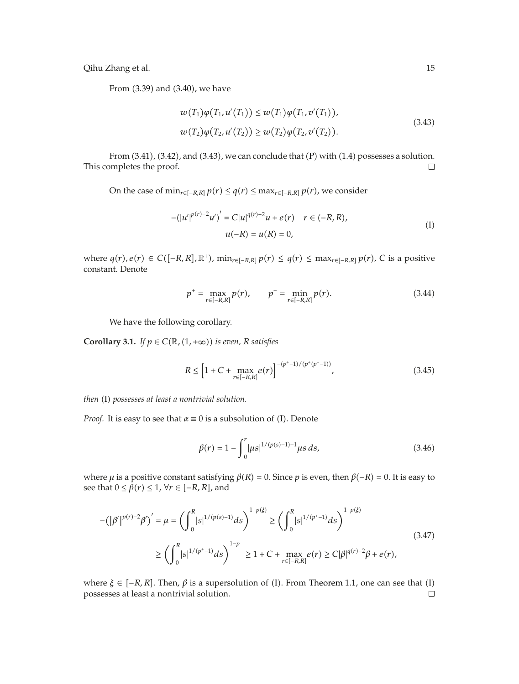From (3.39) and (3.40), we have

$$
w(T_1)\varphi(T_1, u'(T_1)) \le w(T_1)\varphi(T_1, v'(T_1)),
$$
  
\n
$$
w(T_2)\varphi(T_2, u'(T_2)) \ge w(T_2)\varphi(T_2, v'(T_2)).
$$
\n(3.43)

From  $(3.41)$ ,  $(3.42)$ , and  $(3.43)$ , we can conclude that (P) with  $(1.4)$  possesses a solution. This completes the proof.  $\Box$ 

On the case of  $\min_{r \in [-R,R]} p(r) \leq q(r) \leq \max_{r \in [-R,R]} p(r)$ , we consider

$$
-(|u'|^{p(r)-2}u')' = C|u|^{q(r)-2}u + e(r) \quad r \in (-R, R),
$$
  

$$
u(-R) = u(R) = 0,
$$
 (I)

*r* where  $q(r)$ ,  $e(r)$  ∈  $C([-R, R], \mathbb{R}^+)$ ,  $\min_{r \in [-R, R]} p(r) \leq q(r) \leq \max_{r \in [-R, R]} p(r)$ , *C* is a positive constant. Denote

$$
p^{+} = \max_{r \in [-R,R]} p(r), \qquad p^{-} = \min_{r \in [-R,R]} p(r). \tag{3.44}
$$

We have the following corollary.

**Corollary 3.1.** *If*  $p \in C(\mathbb{R}, (1, +\infty))$  *is even, R satisfies* 

$$
R \le \left[1 + C + \max_{r \in [-R,R]} e(r)\right]^{-(p^+ - 1)/(p^+(p^- - 1))}, \tag{3.45}
$$

*then* -I *possesses at least a nontrivial solution.*

*Proof.* It is easy to see that  $\alpha \equiv 0$  is a subsolution of (I). Denote

$$
\beta(r) = 1 - \int_0^r |\mu s|^{1/(p(s)-1)-1} \mu s \, ds,\tag{3.46}
$$

where  $\mu$  is a positive constant satisfying  $\beta(R) = 0$ . Since  $p$  is even, then  $\beta(-R) = 0$ . It is easy to see that  $0 \le \beta(r) \le 1$ ,  $\forall r \in [-R, R]$ , and

$$
-(|\beta'|^{p(r)-2}\beta')' = \mu = \left(\int_0^R |s|^{1/(p(s)-1)}ds\right)^{1-p(\xi)} \ge \left(\int_0^R |s|^{1/(p^*-1)}ds\right)^{1-p(\xi)}
$$
  

$$
\ge \left(\int_0^R |s|^{1/(p^*-1)}ds\right)^{1-p^*} \ge 1 + C + \max_{r \in [-R,R]} e(r) \ge C|\beta|^{q(r)-2}\beta + e(r),
$$
\n(3.47)

where  $\xi \in [-R, R]$ . Then,  $\beta$  is a supersolution of (I). From Theorem 1.1, one can see that (I) possesses at least a nontrivial solution. $\Box$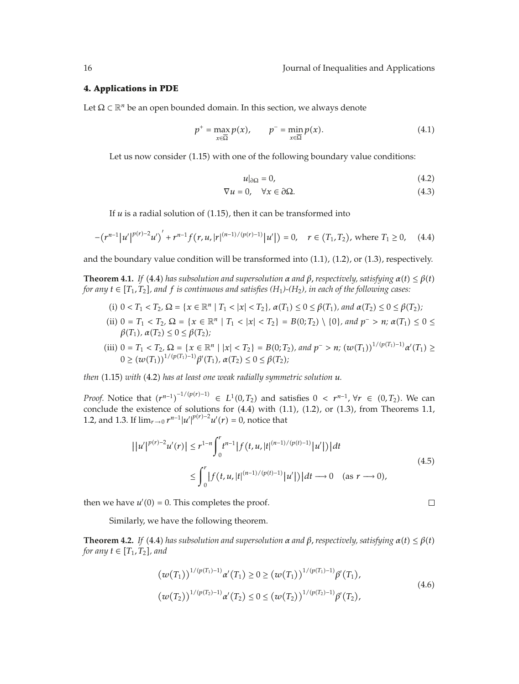#### **4. Applications in PDE**

Let  $\Omega \subset \mathbb{R}^n$  be an open bounded domain. In this section, we always denote

$$
p^{+} = \max_{x \in \overline{\Omega}} p(x), \qquad p^{-} = \min_{x \in \overline{\Omega}} p(x). \tag{4.1}
$$

Let us now consider (1.15) with one of the following boundary value conditions:

$$
u|_{\partial\Omega} = 0,\t\t(4.2)
$$

$$
\nabla u = 0, \quad \forall x \in \partial \Omega. \tag{4.3}
$$

If *u* is a radial solution of (1.15), then it can be transformed into

$$
-(r^{n-1}|u'|^{p(r)-2}u')' + r^{n-1}f(r,u,|r|^{(n-1)/(p(r)-1)}|u'|) = 0, \quad r \in (T_1, T_2), \text{ where } T_1 \ge 0,
$$
 (4.4)

and the boundary value condition will be transformed into  $(1.1)$ ,  $(1.2)$ , or  $(1.3)$ , respectively.

**Theorem 4.1.** *If* (4.4) has subsolution and supersolution  $\alpha$  and  $\beta$ , respectively, satisfying  $\alpha(t) \leq \beta(t)$ *for any*  $t \in [T_1, T_2]$ , and *f* is continuous and satisfies  $(H_1)$ - $(H_2)$ , in each of the following cases:

- (i)  $0 < T_1 < T_2$ ,  $\Omega = \{x \in \mathbb{R}^n \mid T_1 < |x| < T_2\}$ ,  $\alpha(T_1) \leq 0 \leq \beta(T_1)$ , and  $\alpha(T_2) \leq 0 \leq \beta(T_2)$ ;
- $\text{(ii)}$   $0 = T_1 < T_2, \Omega = \{x \in \mathbb{R}^n \mid T_1 < |x| < T_2\} = B(0; T_2) \setminus \{0\}, \text{ and } p^- > n; \alpha(T_1) \leq 0 \leq T_2$  $\beta(T_1)$ ,  $\alpha(T_2) \leq 0 \leq \beta(T_2)$ ;
- (iii)  $0 = T_1 < T_2$ ,  $\Omega = \{x \in \mathbb{R}^n \mid |x| < T_2\} = B(0; T_2)$ , and  $p^- > n$ ;  $(w(T_1))^{1/(p(T_1)-1)} \alpha'(T_1) \ge$  $0 \geq (w(T_1))^{1/(p(T_1)-1)} \beta'(T_1), \alpha(T_2) \leq 0 \leq \beta(T_2)$ ;

then (1.15) with (4.2) has at least one weak radially symmetric solution **u**.

*Proof.* Notice that  $(r^{n-1})^{-1/(p(r)-1)}$  ∈  $L^1(0,T_2)$  and satisfies  $0 < r^{n-1}$ , ∀*r* ∈  $(0,T_2)$ . We can conclude the existence of solutions for  $(4.4)$  with  $(1.1)$ ,  $(1.2)$ , or  $(1.3)$ , from Theorems 1.1, 1.2, and 1.3. If  $\lim_{r \to 0} r^{n-1} |u'|^{p(r)-2} u'(r) = 0$ , notice that

$$
\left| |u'|^{p(r)-2} u'(r) \right| \le r^{1-n} \int_0^r t^{n-1} |f(t, u, |t|^{(n-1)/(p(t)-1)} |u'|) |dt
$$
\n
$$
\le \int_0^r |f(t, u, |t|^{(n-1)/(p(t)-1)} |u'|) |dt \longrightarrow 0 \quad \text{(as } r \longrightarrow 0),
$$
\n(4.5)

then we have  $u'(0) = 0$ . This completes the proof.

Similarly, we have the following theorem.

**Theorem 4.2.** *If* (4.4) has subsolution and supersolution  $\alpha$  and  $\beta$ , respectively, satisfying  $\alpha(t) \leq \beta(t)$ *for any*  $t \in [T_1, T_2]$ *, and* 

$$
\left(w(T_1)\right)^{1/(p(T_1)-1)}\alpha'(T_1) \ge 0 \ge \left(w(T_1)\right)^{1/(p(T_1)-1)}\beta'(T_1),
$$
\n
$$
\left(w(T_2)\right)^{1/(p(T_2)-1)}\alpha'(T_2) \le 0 \le \left(w(T_2)\right)^{1/(p(T_2)-1)}\beta'(T_2),
$$
\n(4.6)

 $\Box$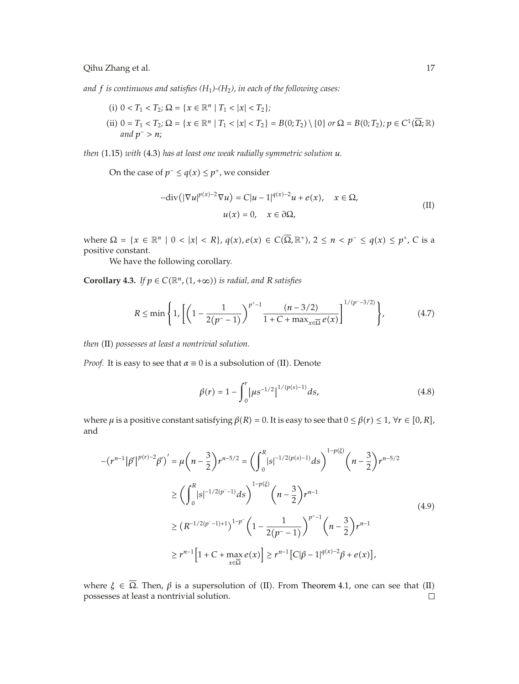*and f is continuous and satisfies (H*1*)-(H*2*), in each of the following cases:*

(i)  $0 < T_1 < T_2$ ;  $\Omega = \{x \in \mathbb{R}^n \mid T_1 < |x| < T_2\}$ ;  $\text{(ii)}$   $0 = T_1 < T_2; \Omega = \{x \in \mathbb{R}^n \mid T_1 < |x| < T_2\} = B(0; T_2) \setminus \{0\} \text{ or } \Omega = B(0; T_2); p \in C^1(\overline{\Omega}; \mathbb{R})$ *and*  $p^{-} > n$ ;

then (1.15) with (4.3) has at least one weak radially symmetric solution **u**.

On the case of  $p^{-} \leq q(x) \leq p^{+}$ , we consider

$$
-\text{div}(|\nabla u|^{p(x)-2}\nabla u) = C|u-1|^{q(x)-2}u + e(x), \quad x \in \Omega,
$$
  

$$
u(x) = 0, \quad x \in \partial\Omega,
$$
 (II)

where  $\Omega = \{x \in \mathbb{R}^n \mid 0 < |x| < R\}$ ,  $q(x)$ ,  $e(x) \in C(\overline{\Omega}, \mathbb{R}^*)$ ,  $2 \le n < p^- \le q(x) \le p^+$ , C is a positive constant.

We have the following corollary.

**Corollary 4.3.** *If*  $p \in C(\mathbb{R}^n, (1, +\infty))$  *is radial, and R satisfies* 

$$
R \le \min\left\{1, \left[\left(1 - \frac{1}{2(p^2 - 1)}\right)^{p^2 - 1} \frac{(n - 3/2)}{1 + C + \max_{x \in \overline{\Omega}} e(x)}\right]^{1/(p^2 - 3/2)}\right\},\tag{4.7}
$$

then (II) possesses at least a nontrivial solution.

*Proof.* It is easy to see that  $\alpha \equiv 0$  is a subsolution of (II). Denote

$$
\beta(r) = 1 - \int_0^r \left| \mu s^{-1/2} \right|^{1/(p(s)-1)} ds,\tag{4.8}
$$

where  $\mu$  is a positive constant satisfying  $\beta(R) = 0$ . It is easy to see that  $0 \leq \beta(r) \leq 1$ ,  $\forall r \in [0, R]$ , and

$$
-(r^{n-1}|\beta'|^{p(r)-2}\beta')' = \mu\left(n-\frac{3}{2}\right)r^{n-5/2} = \left(\int_0^R |s|^{-1/2(p(s)-1)}ds\right)^{1-p(\xi)}\left(n-\frac{3}{2}\right)r^{n-5/2}
$$
  
\n
$$
\geq \left(\int_0^R |s|^{-1/2(p^{-}-1)}ds\right)^{1-p(\xi)}\left(n-\frac{3}{2}\right)r^{n-1}
$$
  
\n
$$
\geq (R^{-1/2(p^{-}-1)+1})^{1-p}\left(1-\frac{1}{2(p^{-}-1)}\right)^{p^{+}-1}\left(n-\frac{3}{2}\right)r^{n-1}
$$
  
\n
$$
\geq r^{n-1}\left[1+C+\max_{x\in\overline{\Omega}}e(x)\right] \geq r^{n-1}\left[C|\beta-1|^{q(x)-2}\beta+e(x)\right],
$$
\n(4.9)

where  $\xi \in \Omega$ . Then,  $\beta$  is a supersolution of (II). From Theorem 4.1, one can see that (II) possesses at least a nontrivial solution. $\Box$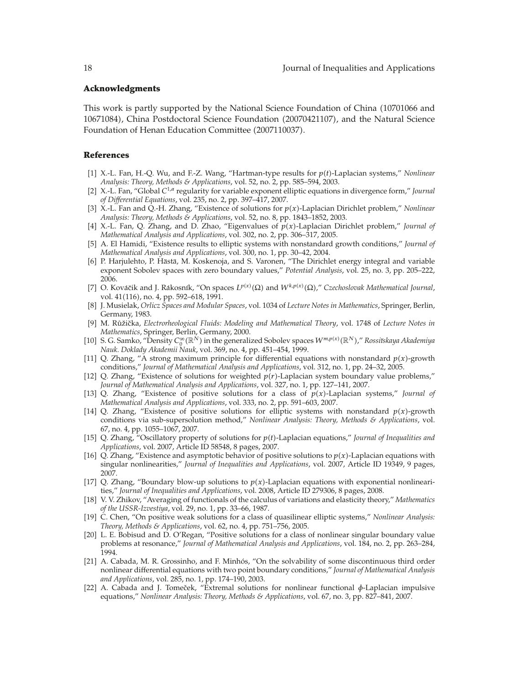#### **Acknowledgments**

This work is partly supported by the National Science Foundation of China (10701066 and 10671084), China Postdoctoral Science Foundation (20070421107), and the Natural Science Foundation of Henan Education Committee (2007110037).

#### **References**

- [1] X.-L. Fan, H.-Q. Wu, and F.-Z. Wang, "Hartman-type results for  $p(t)$ -Laplacian systems," *Nonlinear Analysis: Theory, Methods & Applications*, vol. 52, no. 2, pp. 585–594, 2003.
- 2 X.-L. Fan, "Global *C*1*,α* regularity for variable exponent elliptic equations in divergence form," *Journal of Differential Equations*, vol. 235, no. 2, pp. 397–417, 2007.
- [3] X.-L. Fan and Q.-H. Zhang, "Existence of solutions for  $p(x)$ -Laplacian Dirichlet problem," *Nonlinear Analysis: Theory, Methods & Applications*, vol. 52, no. 8, pp. 1843–1852, 2003.
- [4] X.-L. Fan, Q. Zhang, and D. Zhao, "Eigenvalues of  $p(x)$ -Laplacian Dirichlet problem," *Journal of Mathematical Analysis and Applications*, vol. 302, no. 2, pp. 306–317, 2005.
- 5 A. El Hamidi, "Existence results to elliptic systems with nonstandard growth conditions," *Journal of Mathematical Analysis and Applications*, vol. 300, no. 1, pp. 30–42, 2004.
- [6] P. Harjulehto, P. Hästä, M. Koskenoja, and S. Varonen, "The Dirichlet energy integral and variable exponent Sobolev spaces with zero boundary values," *Potential Analysis*, vol. 25, no. 3, pp. 205–222, 2006.
- [7] O. Kováčik and J. Rákosník, "On spaces  $L^{p(x)}(\Omega)$  and  $W^{k,p(x)}(\Omega)$ ," Czechoslovak Mathematical Journal, vol. 41(116), no. 4, pp. 592–618, 1991.
- 8 J. Musielak, *Orlicz Spaces and Modular Spaces*, vol. 1034 of *Lecture Notes in Mathematics*, Springer, Berlin, Germany, 1983.
- [9] M. Růžička, Electrorheological Fluids: Modeling and Mathematical Theory, vol. 1748 of Lecture Notes in *Mathematics*, Springer, Berlin, Germany, 2000.
- [10] S. G. Samko, "Density  $C_0^{\infty}(\mathbb{R}^N)$  in the generalized Sobolev spaces  $W^{m,p(x)}(\mathbb{R}^N)$ ," Rossiĭskaya Akademiya *Nauk. Doklady Akademii Nauk*, vol. 369, no. 4, pp. 451–454, 1999.
- [11] Q. Zhang, "A strong maximum principle for differential equations with nonstandard  $p(x)$ -growth conditions," *Journal of Mathematical Analysis and Applications*, vol. 312, no. 1, pp. 24–32, 2005.
- [12] Q. Zhang, "Existence of solutions for weighted  $p(r)$ -Laplacian system boundary value problems," *Journal of Mathematical Analysis and Applications*, vol. 327, no. 1, pp. 127–141, 2007.
- [13] Q. Zhang, "Existence of positive solutions for a class of  $p(x)$ -Laplacian systems," *Journal of Mathematical Analysis and Applications*, vol. 333, no. 2, pp. 591–603, 2007.
- [14] Q. Zhang, "Existence of positive solutions for elliptic systems with nonstandard  $p(x)$ -growth conditions via sub-supersolution method," *Nonlinear Analysis: Theory, Methods & Applications*, vol. 67, no. 4, pp. 1055–1067, 2007.
- [15] Q. Zhang, "Oscillatory property of solutions for  $p(t)$ -Laplacian equations," *Journal of Inequalities and Applications*, vol. 2007, Article ID 58548, 8 pages, 2007.
- [16] Q. Zhang, "Existence and asymptotic behavior of positive solutions to  $p(x)$ -Laplacian equations with singular nonlinearities," *Journal of Inequalities and Applications*, vol. 2007, Article ID 19349, 9 pages, 2007.
- [17] Q. Zhang, "Boundary blow-up solutions to  $p(x)$ -Laplacian equations with exponential nonlinearities," *Journal of Inequalities and Applications*, vol. 2008, Article ID 279306, 8 pages, 2008.
- 18 V. V. Zhikov, "Averaging of functionals of the calculus of variations and elasticity theory," *Mathematics of the USSR-Izvestiya*, vol. 29, no. 1, pp. 33–66, 1987.
- 19 C. Chen, "On positive weak solutions for a class of quasilinear elliptic systems," *Nonlinear Analysis: Theory, Methods & Applications*, vol. 62, no. 4, pp. 751–756, 2005.
- 20 L. E. Bobisud and D. O'Regan, "Positive solutions for a class of nonlinear singular boundary value problems at resonance," *Journal of Mathematical Analysis and Applications*, vol. 184, no. 2, pp. 263–284, 1994.
- [21] A. Cabada, M. R. Grossinho, and F. Minhós, "On the solvability of some discontinuous third order nonlinear differential equations with two point boundary conditions," *Journal of Mathematical Analysis and Applications*, vol. 285, no. 1, pp. 174–190, 2003.
- [22] A. Cabada and J. Tomeček, "Extremal solutions for nonlinear functional  $\phi$ -Laplacian impulsive equations," *Nonlinear Analysis: Theory, Methods & Applications*, vol. 67, no. 3, pp. 827–841, 2007.